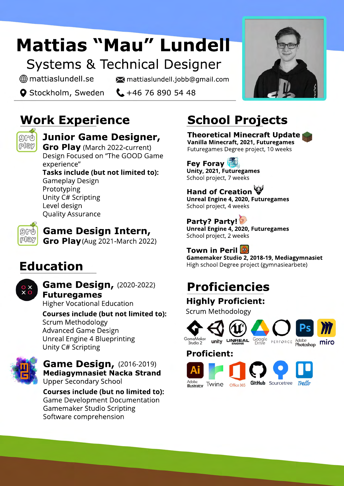# **Mattias "Mau" Lundell**

## Systems & Technical Designer

mattiaslundell.se mattiaslundell.jobb@gmail.com

**O** Stockholm, Sweden  $\leftarrow$  +46 76 890 54 48

# **Work Experience**



### **Junior Game Designer,**

**Gro Play** (March 2022-current) Design Focused on "The GOOD Game experience"

**Tasks include (but not limited to):** Gameplay Design Prototyping Unity C# Scripting Level design Quality Assurance



**Game Design Intern,**

**Gro Play** (Aug 2021-March 2022)

## **Education**



#### **Game Design,**(2020-2022) **Futuregames**

Higher Vocational Education

#### **Courses include (but not limited to):** Scrum Methodology Advanced Game Design Unreal Engine 4 Blueprinting Unity C# Scripting



#### **Game Design,**(2016-2019) **Mediagymnasiet Nacka Strand** Upper Secondary School

**Courses include (but no limited to):** Game Development Documentation Gamemaker Studio Scripting Software comprehension

# **School Projects**

**Theoretical Minecraft Update Vanilla Minecraft, 2021, Futuregames** Futuregames Degree project, 10 weeks

### **Fey Foray**

**Unity, 2021, Futuregames** School project, 7 weeks

## **Hand of Creation**

**Unreal Engine 4, 2020, Futuregames** School project, 4 weeks

**Party? Party!**

**Unreal Engine 4, 2020, Futuregames** School project, 2 weeks

## **Town in Peril**

**Gamemaker Studio 2, 2018-19, Mediagymnasiet** High school Degree project (gymnasiearbete)

## **Proficiencies**

## **Highly Proficient:**

Scrum Methodology



**Proficient:**